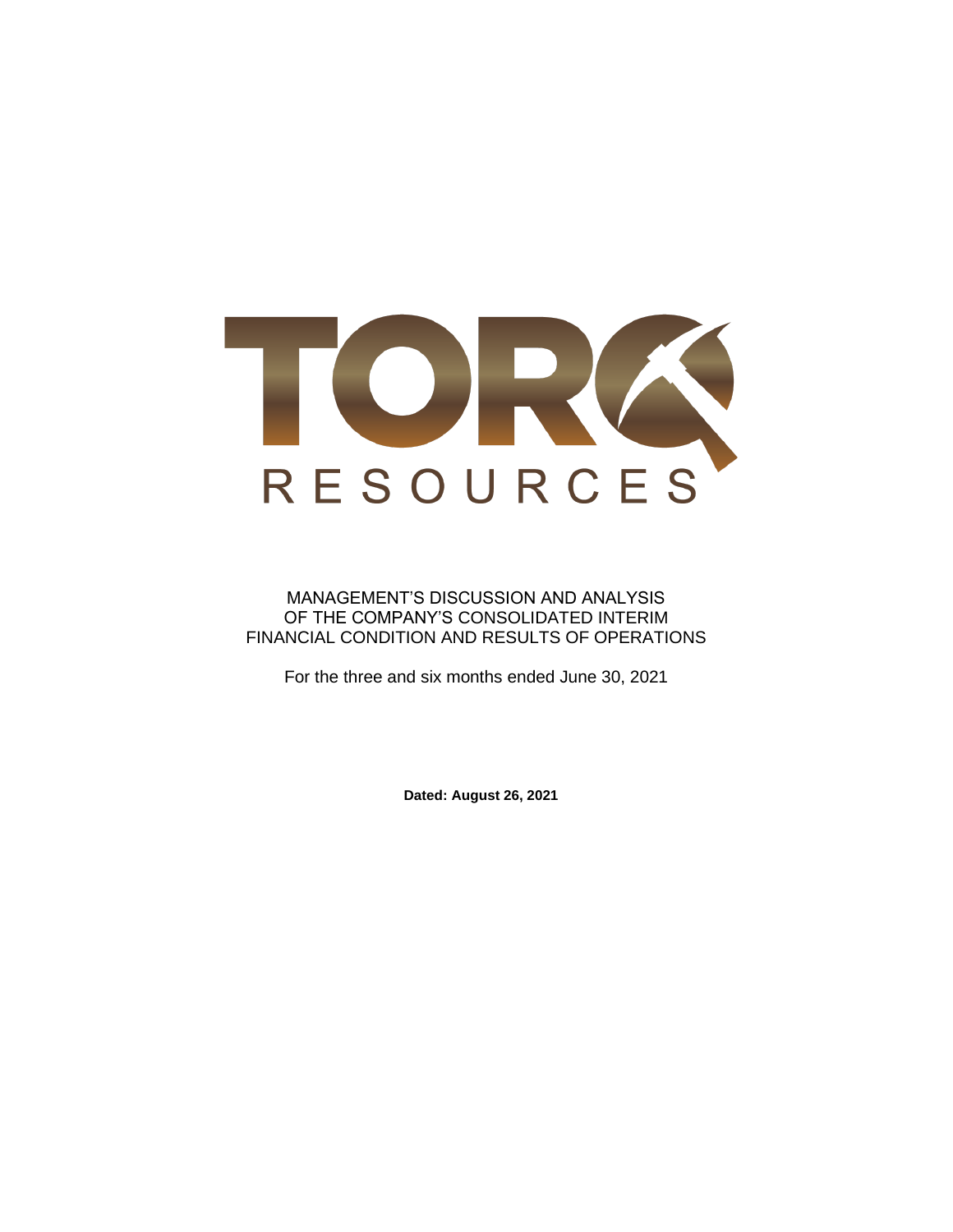

## MANAGEMENT'S DISCUSSION AND ANALYSIS OF THE COMPANY'S CONSOLIDATED INTERIM FINANCIAL CONDITION AND RESULTS OF OPERATIONS

For the three and six months ended June 30, 2021

**Dated: August 26, 2021**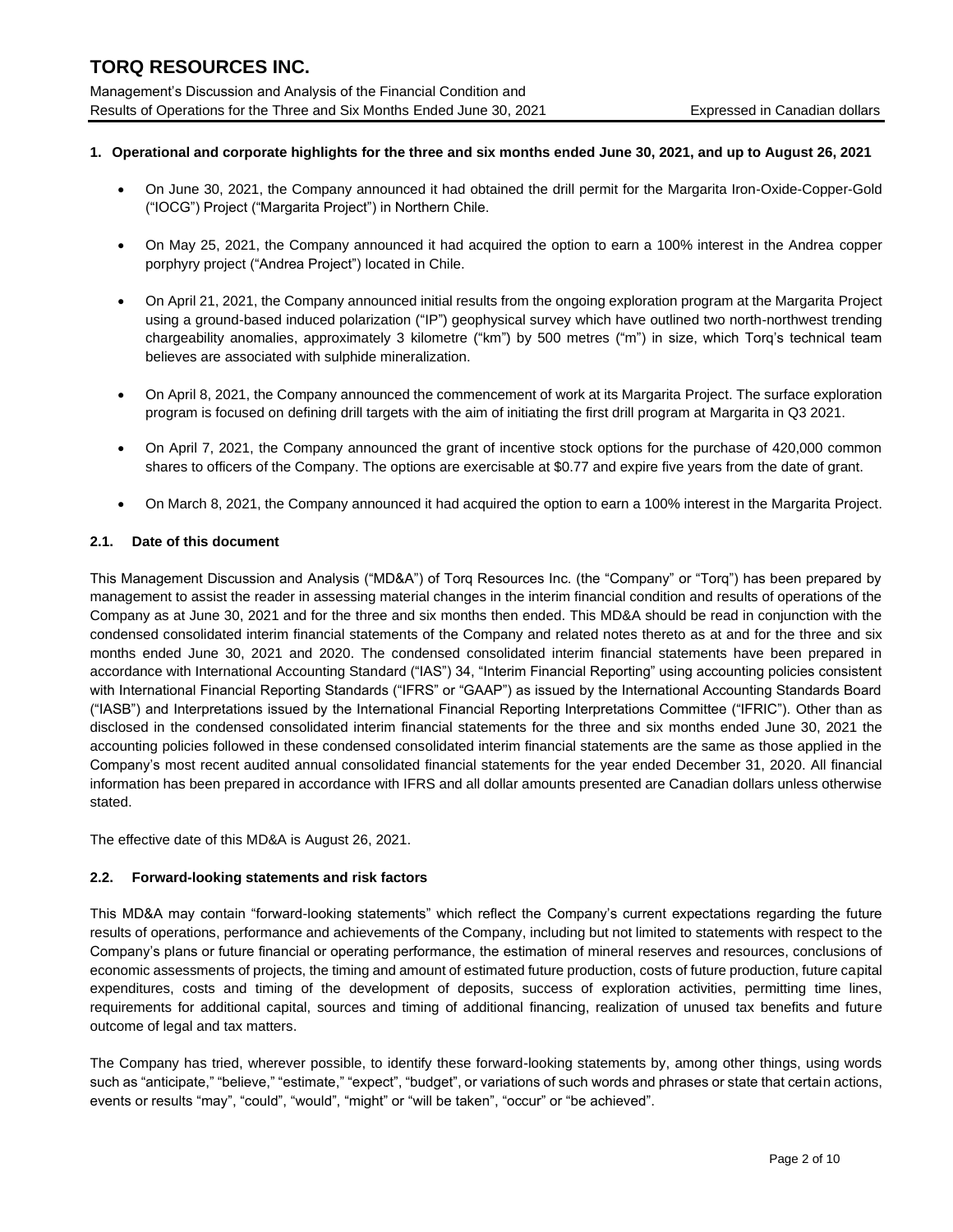Management's Discussion and Analysis of the Financial Condition and Results of Operations for the Three and Six Months Ended June 30, 2021 Expressed in Canadian dollars

## **1. Operational and corporate highlights for the three and six months ended June 30, 2021, and up to August 26, 2021**

- On June 30, 2021, the Company announced it had obtained the drill permit for the Margarita Iron-Oxide-Copper-Gold ("IOCG") Project ("Margarita Project") in Northern Chile.
- On May 25, 2021, the Company announced it had acquired the option to earn a 100% interest in the Andrea copper porphyry project ("Andrea Project") located in Chile.
- On April 21, 2021, the Company announced initial results from the ongoing exploration program at the Margarita Project using a ground-based induced polarization ("IP") geophysical survey which have outlined two north-northwest trending chargeability anomalies, approximately 3 kilometre ("km") by 500 metres ("m") in size, which Torq's technical team believes are associated with sulphide mineralization.
- On April 8, 2021, the Company announced the commencement of work at its Margarita Project. The surface exploration program is focused on defining drill targets with the aim of initiating the first drill program at Margarita in Q3 2021.
- On April 7, 2021, the Company announced the grant of incentive stock options for the purchase of 420,000 common shares to officers of the Company. The options are exercisable at \$0.77 and expire five years from the date of grant.
- On March 8, 2021, the Company announced it had acquired the option to earn a 100% interest in the Margarita Project.

### **2.1. Date of this document**

This Management Discussion and Analysis ("MD&A") of Torq Resources Inc. (the "Company" or "Torq") has been prepared by management to assist the reader in assessing material changes in the interim financial condition and results of operations of the Company as at June 30, 2021 and for the three and six months then ended. This MD&A should be read in conjunction with the condensed consolidated interim financial statements of the Company and related notes thereto as at and for the three and six months ended June 30, 2021 and 2020. The condensed consolidated interim financial statements have been prepared in accordance with International Accounting Standard ("IAS") 34, "Interim Financial Reporting" using accounting policies consistent with International Financial Reporting Standards ("IFRS" or "GAAP") as issued by the International Accounting Standards Board ("IASB") and Interpretations issued by the International Financial Reporting Interpretations Committee ("IFRIC"). Other than as disclosed in the condensed consolidated interim financial statements for the three and six months ended June 30, 2021 the accounting policies followed in these condensed consolidated interim financial statements are the same as those applied in the Company's most recent audited annual consolidated financial statements for the year ended December 31, 2020. All financial information has been prepared in accordance with IFRS and all dollar amounts presented are Canadian dollars unless otherwise stated.

The effective date of this MD&A is August 26, 2021.

## **2.2. Forward-looking statements and risk factors**

This MD&A may contain "forward-looking statements" which reflect the Company's current expectations regarding the future results of operations, performance and achievements of the Company, including but not limited to statements with respect to the Company's plans or future financial or operating performance, the estimation of mineral reserves and resources, conclusions of economic assessments of projects, the timing and amount of estimated future production, costs of future production, future capital expenditures, costs and timing of the development of deposits, success of exploration activities, permitting time lines, requirements for additional capital, sources and timing of additional financing, realization of unused tax benefits and future outcome of legal and tax matters.

The Company has tried, wherever possible, to identify these forward-looking statements by, among other things, using words such as "anticipate," "believe," "estimate," "expect", "budget", or variations of such words and phrases or state that certain actions, events or results "may", "could", "would", "might" or "will be taken", "occur" or "be achieved".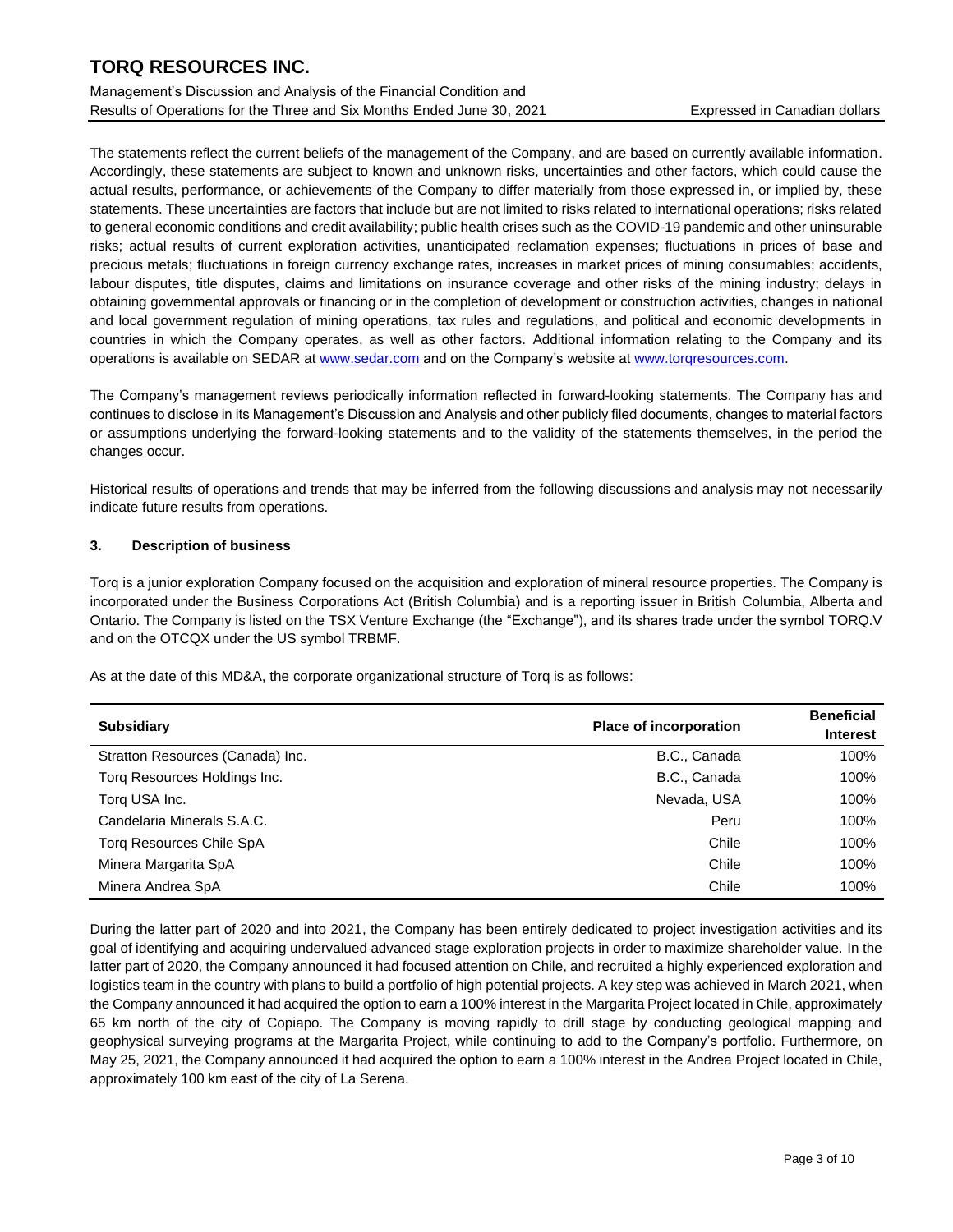Management's Discussion and Analysis of the Financial Condition and Results of Operations for the Three and Six Months Ended June 30, 2021 Expressed in Canadian dollars

The statements reflect the current beliefs of the management of the Company, and are based on currently available information. Accordingly, these statements are subject to known and unknown risks, uncertainties and other factors, which could cause the actual results, performance, or achievements of the Company to differ materially from those expressed in, or implied by, these statements. These uncertainties are factors that include but are not limited to risks related to international operations; risks related to general economic conditions and credit availability; public health crises such as the COVID-19 pandemic and other uninsurable risks; actual results of current exploration activities, unanticipated reclamation expenses; fluctuations in prices of base and precious metals; fluctuations in foreign currency exchange rates, increases in market prices of mining consumables; accidents, labour disputes, title disputes, claims and limitations on insurance coverage and other risks of the mining industry; delays in obtaining governmental approvals or financing or in the completion of development or construction activities, changes in national and local government regulation of mining operations, tax rules and regulations, and political and economic developments in countries in which the Company operates, as well as other factors. Additional information relating to the Company and its operations is available on SEDAR a[t www.sedar.com](http://www.sedar.com/) and on the Company's website a[t www.torqresources.com.](http://www.torqresources.com/)

The Company's management reviews periodically information reflected in forward-looking statements. The Company has and continues to disclose in its Management's Discussion and Analysis and other publicly filed documents, changes to material factors or assumptions underlying the forward-looking statements and to the validity of the statements themselves, in the period the changes occur.

Historical results of operations and trends that may be inferred from the following discussions and analysis may not necessarily indicate future results from operations.

### **3. Description of business**

Torq is a junior exploration Company focused on the acquisition and exploration of mineral resource properties. The Company is incorporated under the Business Corporations Act (British Columbia) and is a reporting issuer in British Columbia, Alberta and Ontario. The Company is listed on the TSX Venture Exchange (the "Exchange"), and its shares trade under the symbol TORQ.V and on the OTCQX under the US symbol TRBMF.

As at the date of this MD&A, the corporate organizational structure of Torq is as follows:

| <b>Subsidiary</b>                | <b>Place of incorporation</b> | <b>Beneficial</b><br><b>Interest</b> |
|----------------------------------|-------------------------------|--------------------------------------|
| Stratton Resources (Canada) Inc. | B.C., Canada                  | 100%                                 |
| Torg Resources Holdings Inc.     | B.C., Canada                  | 100%                                 |
| Torg USA Inc.                    | Nevada, USA                   | 100%                                 |
| Candelaria Minerals S.A.C.       | Peru                          | 100%                                 |
| Torg Resources Chile SpA         | Chile                         | 100%                                 |
| Minera Margarita SpA             | Chile                         | 100%                                 |
| Minera Andrea SpA                | Chile                         | 100%                                 |

During the latter part of 2020 and into 2021, the Company has been entirely dedicated to project investigation activities and its goal of identifying and acquiring undervalued advanced stage exploration projects in order to maximize shareholder value. In the latter part of 2020, the Company announced it had focused attention on Chile, and recruited a highly experienced exploration and logistics team in the country with plans to build a portfolio of high potential projects. A key step was achieved in March 2021, when the Company announced it had acquired the option to earn a 100% interest in the Margarita Project located in Chile, approximately 65 km north of the city of Copiapo. The Company is moving rapidly to drill stage by conducting geological mapping and geophysical surveying programs at the Margarita Project, while continuing to add to the Company's portfolio. Furthermore, on May 25, 2021, the Company announced it had acquired the option to earn a 100% interest in the Andrea Project located in Chile, approximately 100 km east of the city of La Serena.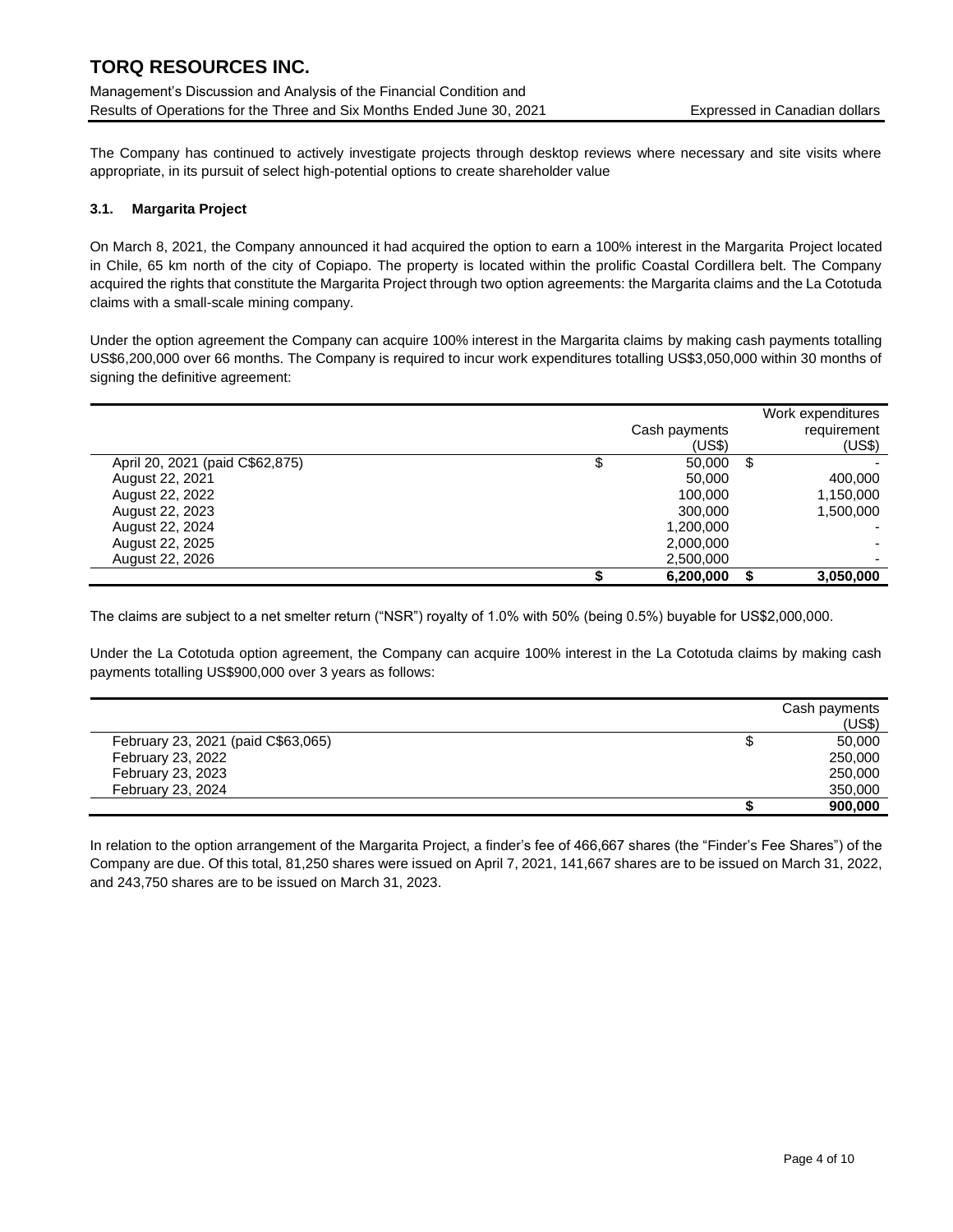Management's Discussion and Analysis of the Financial Condition and Results of Operations for the Three and Six Months Ended June 30, 2021 Expressed in Canadian dollars

The Company has continued to actively investigate projects through desktop reviews where necessary and site visits where appropriate, in its pursuit of select high-potential options to create shareholder value

### **3.1. Margarita Project**

L,

On March 8, 2021, the Company announced it had acquired the option to earn a 100% interest in the Margarita Project located in Chile, 65 km north of the city of Copiapo. The property is located within the prolific Coastal Cordillera belt. The Company acquired the rights that constitute the Margarita Project through two option agreements: the Margarita claims and the La Cototuda claims with a small-scale mining company.

Under the option agreement the Company can acquire 100% interest in the Margarita claims by making cash payments totalling US\$6,200,000 over 66 months. The Company is required to incur work expenditures totalling US\$3,050,000 within 30 months of signing the definitive agreement:

|                                 |               | Work expenditures |
|---------------------------------|---------------|-------------------|
|                                 | Cash payments | requirement       |
|                                 | (US\$)        | (US\$)            |
| April 20, 2021 (paid C\$62,875) | \$<br>50,000  | \$                |
| August 22, 2021                 | 50,000        | 400,000           |
| August 22, 2022                 | 100,000       | 1,150,000         |
| August 22, 2023                 | 300,000       | 1,500,000         |
| August 22, 2024                 | 1,200,000     |                   |
| August 22, 2025                 | 2,000,000     |                   |
| August 22, 2026                 | 2,500,000     |                   |
|                                 | 6,200,000     | 3,050,000         |

The claims are subject to a net smelter return ("NSR") royalty of 1.0% with 50% (being 0.5%) buyable for US\$2,000,000.

Under the La Cototuda option agreement, the Company can acquire 100% interest in the La Cototuda claims by making cash payments totalling US\$900,000 over 3 years as follows:

|                                    | Cash payments |
|------------------------------------|---------------|
|                                    | (US\$)        |
| February 23, 2021 (paid C\$63,065) | 50,000        |
| February 23, 2022                  | 250,000       |
| February 23, 2023                  | 250,000       |
| February 23, 2024                  | 350,000       |
|                                    | 900,000       |

In relation to the option arrangement of the Margarita Project, a finder's fee of 466,667 shares (the "Finder's Fee Shares") of the Company are due. Of this total, 81,250 shares were issued on April 7, 2021, 141,667 shares are to be issued on March 31, 2022, and 243,750 shares are to be issued on March 31, 2023.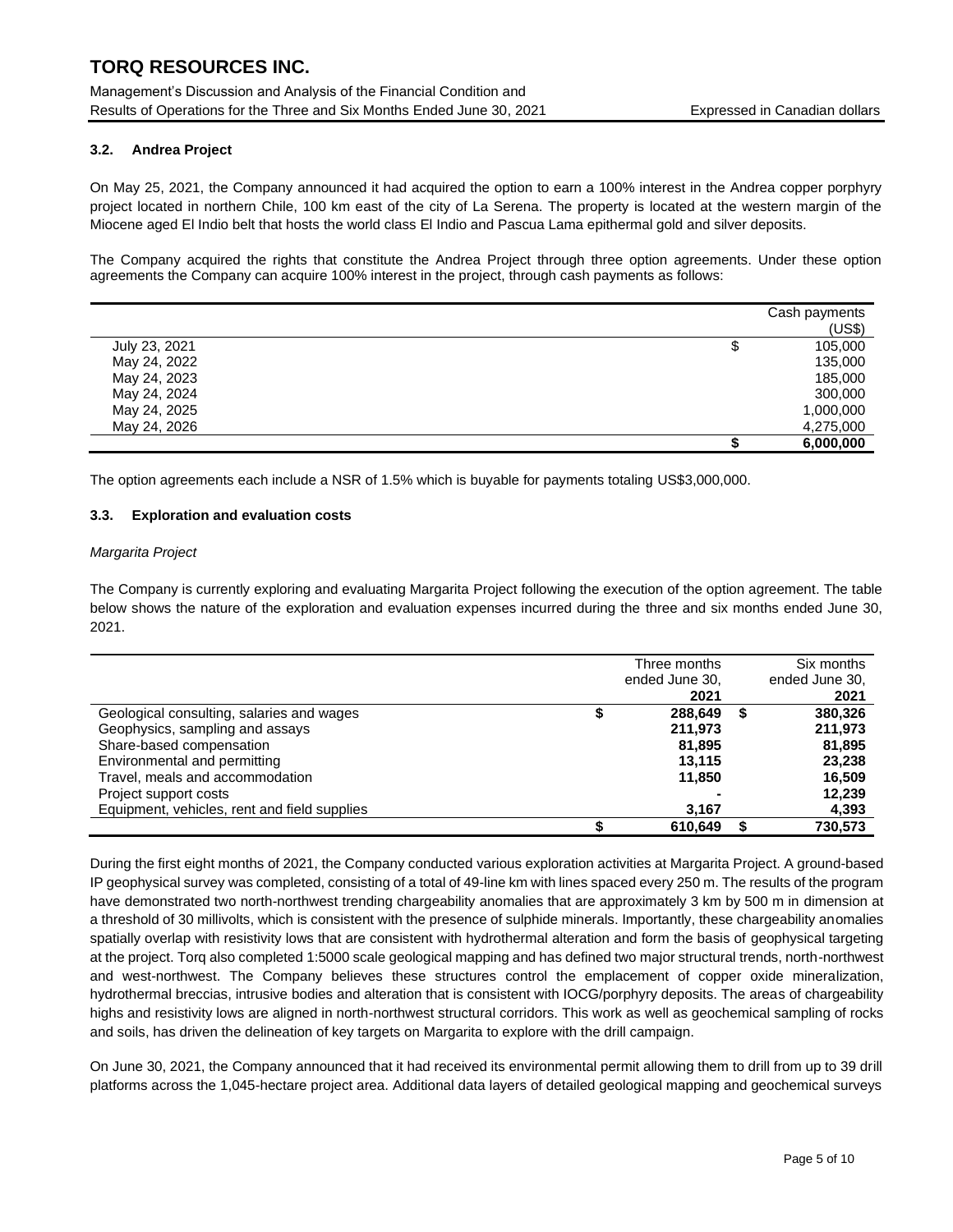Management's Discussion and Analysis of the Financial Condition and Results of Operations for the Three and Six Months Ended June 30, 2021 Expressed in Canadian dollars

### **3.2. Andrea Project**

On May 25, 2021, the Company announced it had acquired the option to earn a 100% interest in the Andrea copper porphyry project located in northern Chile, 100 km east of the city of La Serena. The property is located at the western margin of the Miocene aged El Indio belt that hosts the world class El Indio and Pascua Lama epithermal gold and silver deposits.

The Company acquired the rights that constitute the Andrea Project through three option agreements. Under these option agreements the Company can acquire 100% interest in the project, through cash payments as follows:

|               | Cash payments |
|---------------|---------------|
|               | (US\$)        |
| July 23, 2021 | 105,000<br>Φ  |
| May 24, 2022  | 135,000       |
| May 24, 2023  | 185,000       |
| May 24, 2024  | 300,000       |
| May 24, 2025  | 1,000,000     |
| May 24, 2026  | 4,275,000     |
|               | 6,000,000     |

The option agreements each include a NSR of 1.5% which is buyable for payments totaling US\$3,000,000.

#### **3.3. Exploration and evaluation costs**

#### *Margarita Project*

The Company is currently exploring and evaluating Margarita Project following the execution of the option agreement. The table below shows the nature of the exploration and evaluation expenses incurred during the three and six months ended June 30, 2021.

|                                              | Three months<br>ended June 30,<br>2021 |   | Six months<br>ended June 30,<br>2021 |
|----------------------------------------------|----------------------------------------|---|--------------------------------------|
| Geological consulting, salaries and wages    | 288.649                                | S | 380,326                              |
| Geophysics, sampling and assays              | 211,973                                |   | 211,973                              |
| Share-based compensation                     | 81.895                                 |   | 81.895                               |
| Environmental and permitting                 | 13.115                                 |   | 23,238                               |
| Travel, meals and accommodation              | 11.850                                 |   | 16,509                               |
| Project support costs                        |                                        |   | 12,239                               |
| Equipment, vehicles, rent and field supplies | 3,167                                  |   | 4,393                                |
|                                              | 610.649                                |   | 730.573                              |

During the first eight months of 2021, the Company conducted various exploration activities at Margarita Project. A ground-based IP geophysical survey was completed, consisting of a total of 49-line km with lines spaced every 250 m. The results of the program have demonstrated two north-northwest trending chargeability anomalies that are approximately 3 km by 500 m in dimension at a threshold of 30 millivolts, which is consistent with the presence of sulphide minerals. Importantly, these chargeability anomalies spatially overlap with resistivity lows that are consistent with hydrothermal alteration and form the basis of geophysical targeting at the project. Torq also completed 1:5000 scale geological mapping and has defined two major structural trends, north-northwest and west-northwest. The Company believes these structures control the emplacement of copper oxide mineralization, hydrothermal breccias, intrusive bodies and alteration that is consistent with IOCG/porphyry deposits. The areas of chargeability highs and resistivity lows are aligned in north-northwest structural corridors. This work as well as geochemical sampling of rocks and soils, has driven the delineation of key targets on Margarita to explore with the drill campaign.

On June 30, 2021, the Company announced that it had received its environmental permit allowing them to drill from up to 39 drill platforms across the 1,045-hectare project area. Additional data layers of detailed geological mapping and geochemical surveys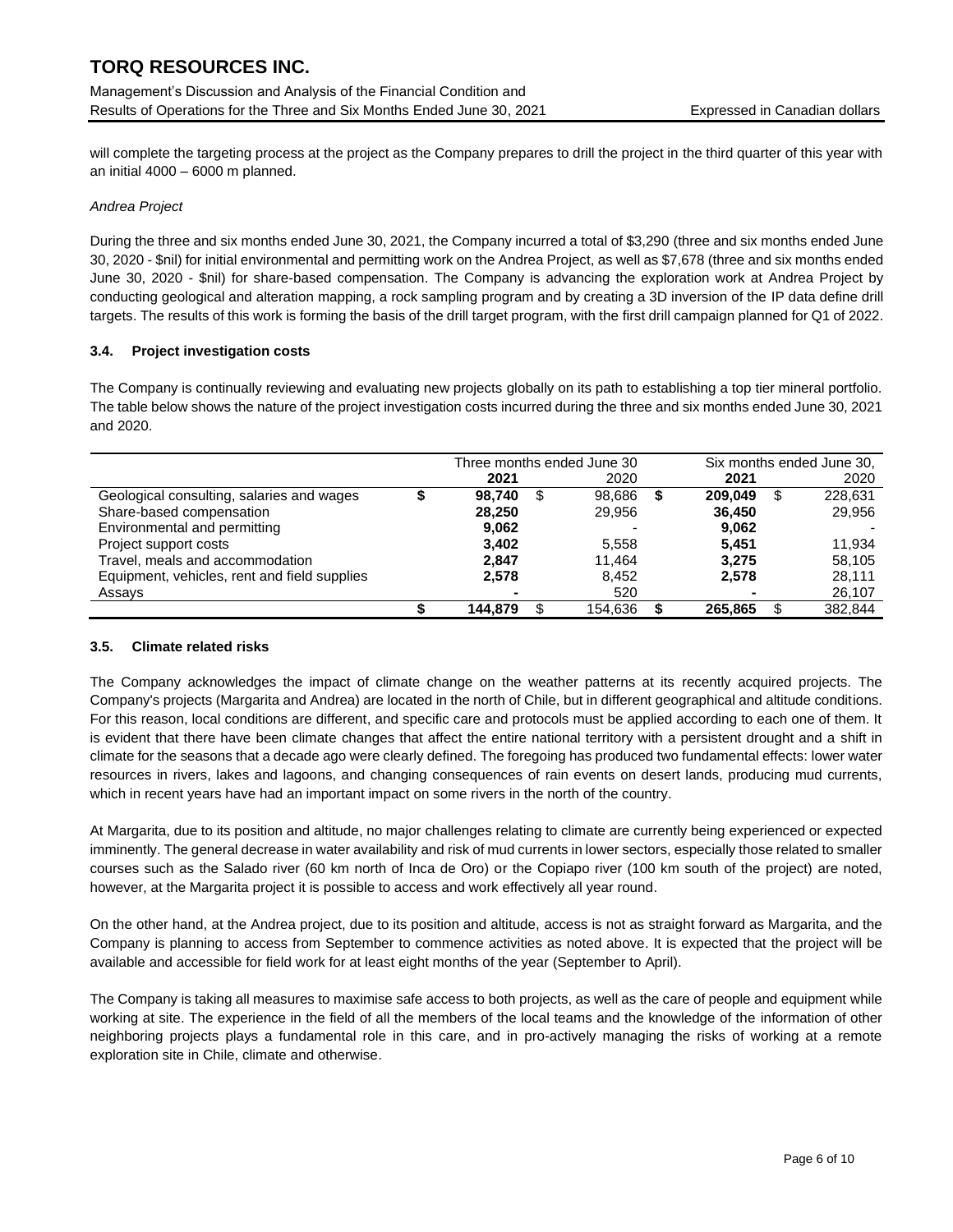Management's Discussion and Analysis of the Financial Condition and Results of Operations for the Three and Six Months Ended June 30, 2021 Expressed in Canadian dollars

will complete the targeting process at the project as the Company prepares to drill the project in the third quarter of this year with an initial 4000 – 6000 m planned.

### *Andrea Project*

During the three and six months ended June 30, 2021, the Company incurred a total of \$3,290 (three and six months ended June 30, 2020 - \$nil) for initial environmental and permitting work on the Andrea Project, as well as \$7,678 (three and six months ended June 30, 2020 - \$nil) for share-based compensation. The Company is advancing the exploration work at Andrea Project by conducting geological and alteration mapping, a rock sampling program and by creating a 3D inversion of the IP data define drill targets. The results of this work is forming the basis of the drill target program, with the first drill campaign planned for Q1 of 2022.

### **3.4. Project investigation costs**

The Company is continually reviewing and evaluating new projects globally on its path to establishing a top tier mineral portfolio. The table below shows the nature of the project investigation costs incurred during the three and six months ended June 30, 2021 and 2020.

|                                              | Three months ended June 30 |   |         |         | Six months ended June 30, |         |
|----------------------------------------------|----------------------------|---|---------|---------|---------------------------|---------|
|                                              | 2021                       |   | 2020    | 2021    |                           | 2020    |
| Geological consulting, salaries and wages    | 98.740                     | S | 98.686  | 209.049 |                           | 228.631 |
| Share-based compensation                     | 28.250                     |   | 29,956  | 36.450  |                           | 29.956  |
| Environmental and permitting                 | 9.062                      |   |         | 9,062   |                           |         |
| Project support costs                        | 3.402                      |   | 5.558   | 5.451   |                           | 11.934  |
| Travel, meals and accommodation              | 2.847                      |   | 11.464  | 3.275   |                           | 58.105  |
| Equipment, vehicles, rent and field supplies | 2.578                      |   | 8.452   | 2,578   |                           | 28.111  |
| Assays                                       |                            |   | 520     |         |                           | 26,107  |
|                                              | 144.879                    |   | 154.636 | 265.865 |                           | 382.844 |

#### **3.5. Climate related risks**

The Company acknowledges the impact of climate change on the weather patterns at its recently acquired projects. The Company's projects (Margarita and Andrea) are located in the north of Chile, but in different geographical and altitude conditions. For this reason, local conditions are different, and specific care and protocols must be applied according to each one of them. It is evident that there have been climate changes that affect the entire national territory with a persistent drought and a shift in climate for the seasons that a decade ago were clearly defined. The foregoing has produced two fundamental effects: lower water resources in rivers, lakes and lagoons, and changing consequences of rain events on desert lands, producing mud currents, which in recent years have had an important impact on some rivers in the north of the country.

At Margarita, due to its position and altitude, no major challenges relating to climate are currently being experienced or expected imminently. The general decrease in water availability and risk of mud currents in lower sectors, especially those related to smaller courses such as the Salado river (60 km north of Inca de Oro) or the Copiapo river (100 km south of the project) are noted, however, at the Margarita project it is possible to access and work effectively all year round.

On the other hand, at the Andrea project, due to its position and altitude, access is not as straight forward as Margarita, and the Company is planning to access from September to commence activities as noted above. It is expected that the project will be available and accessible for field work for at least eight months of the year (September to April).

The Company is taking all measures to maximise safe access to both projects, as well as the care of people and equipment while working at site. The experience in the field of all the members of the local teams and the knowledge of the information of other neighboring projects plays a fundamental role in this care, and in pro-actively managing the risks of working at a remote exploration site in Chile, climate and otherwise.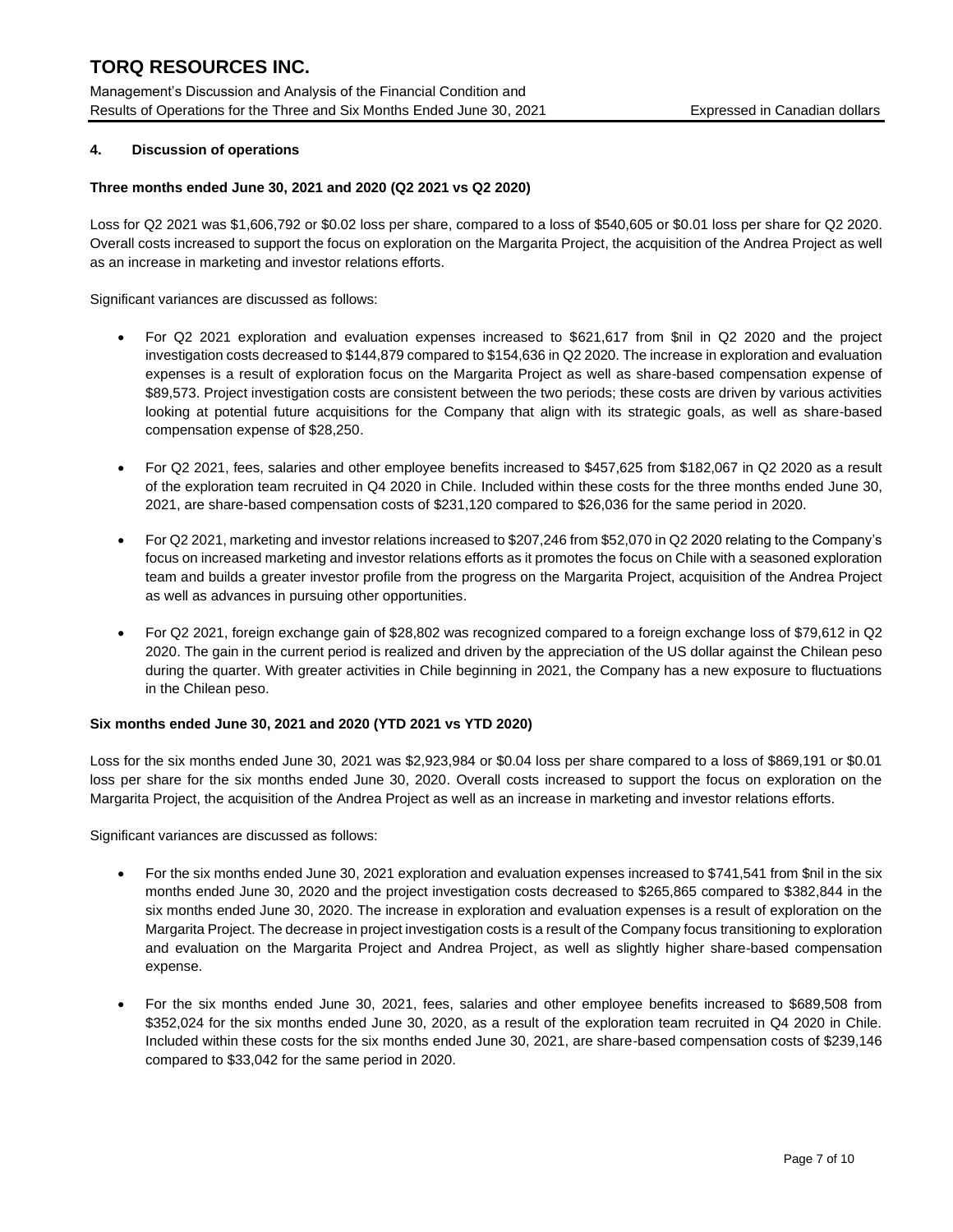Management's Discussion and Analysis of the Financial Condition and Results of Operations for the Three and Six Months Ended June 30, 2021 Expressed in Canadian dollars

## **4. Discussion of operations**

#### **Three months ended June 30, 2021 and 2020 (Q2 2021 vs Q2 2020)**

Loss for Q2 2021 was \$1,606,792 or \$0.02 loss per share, compared to a loss of \$540,605 or \$0.01 loss per share for Q2 2020. Overall costs increased to support the focus on exploration on the Margarita Project, the acquisition of the Andrea Project as well as an increase in marketing and investor relations efforts.

Significant variances are discussed as follows:

- For Q2 2021 exploration and evaluation expenses increased to \$621,617 from \$nil in Q2 2020 and the project investigation costs decreased to \$144,879 compared to \$154,636 in Q2 2020. The increase in exploration and evaluation expenses is a result of exploration focus on the Margarita Project as well as share-based compensation expense of \$89,573. Project investigation costs are consistent between the two periods; these costs are driven by various activities looking at potential future acquisitions for the Company that align with its strategic goals, as well as share-based compensation expense of \$28,250.
- For Q2 2021, fees, salaries and other employee benefits increased to \$457,625 from \$182,067 in Q2 2020 as a result of the exploration team recruited in Q4 2020 in Chile. Included within these costs for the three months ended June 30, 2021, are share-based compensation costs of \$231,120 compared to \$26,036 for the same period in 2020.
- For Q2 2021, marketing and investor relations increased to \$207,246 from \$52,070 in Q2 2020 relating to the Company's focus on increased marketing and investor relations efforts as it promotes the focus on Chile with a seasoned exploration team and builds a greater investor profile from the progress on the Margarita Project, acquisition of the Andrea Project as well as advances in pursuing other opportunities.
- For Q2 2021, foreign exchange gain of \$28,802 was recognized compared to a foreign exchange loss of \$79,612 in Q2 2020. The gain in the current period is realized and driven by the appreciation of the US dollar against the Chilean peso during the quarter. With greater activities in Chile beginning in 2021, the Company has a new exposure to fluctuations in the Chilean peso.

#### **Six months ended June 30, 2021 and 2020 (YTD 2021 vs YTD 2020)**

Loss for the six months ended June 30, 2021 was \$2,923,984 or \$0.04 loss per share compared to a loss of \$869,191 or \$0.01 loss per share for the six months ended June 30, 2020. Overall costs increased to support the focus on exploration on the Margarita Project, the acquisition of the Andrea Project as well as an increase in marketing and investor relations efforts.

Significant variances are discussed as follows:

- For the six months ended June 30, 2021 exploration and evaluation expenses increased to \$741,541 from \$nil in the six months ended June 30, 2020 and the project investigation costs decreased to \$265,865 compared to \$382,844 in the six months ended June 30, 2020. The increase in exploration and evaluation expenses is a result of exploration on the Margarita Project. The decrease in project investigation costs is a result of the Company focus transitioning to exploration and evaluation on the Margarita Project and Andrea Project, as well as slightly higher share-based compensation expense.
- For the six months ended June 30, 2021, fees, salaries and other employee benefits increased to \$689,508 from \$352,024 for the six months ended June 30, 2020, as a result of the exploration team recruited in Q4 2020 in Chile. Included within these costs for the six months ended June 30, 2021, are share-based compensation costs of \$239,146 compared to \$33,042 for the same period in 2020.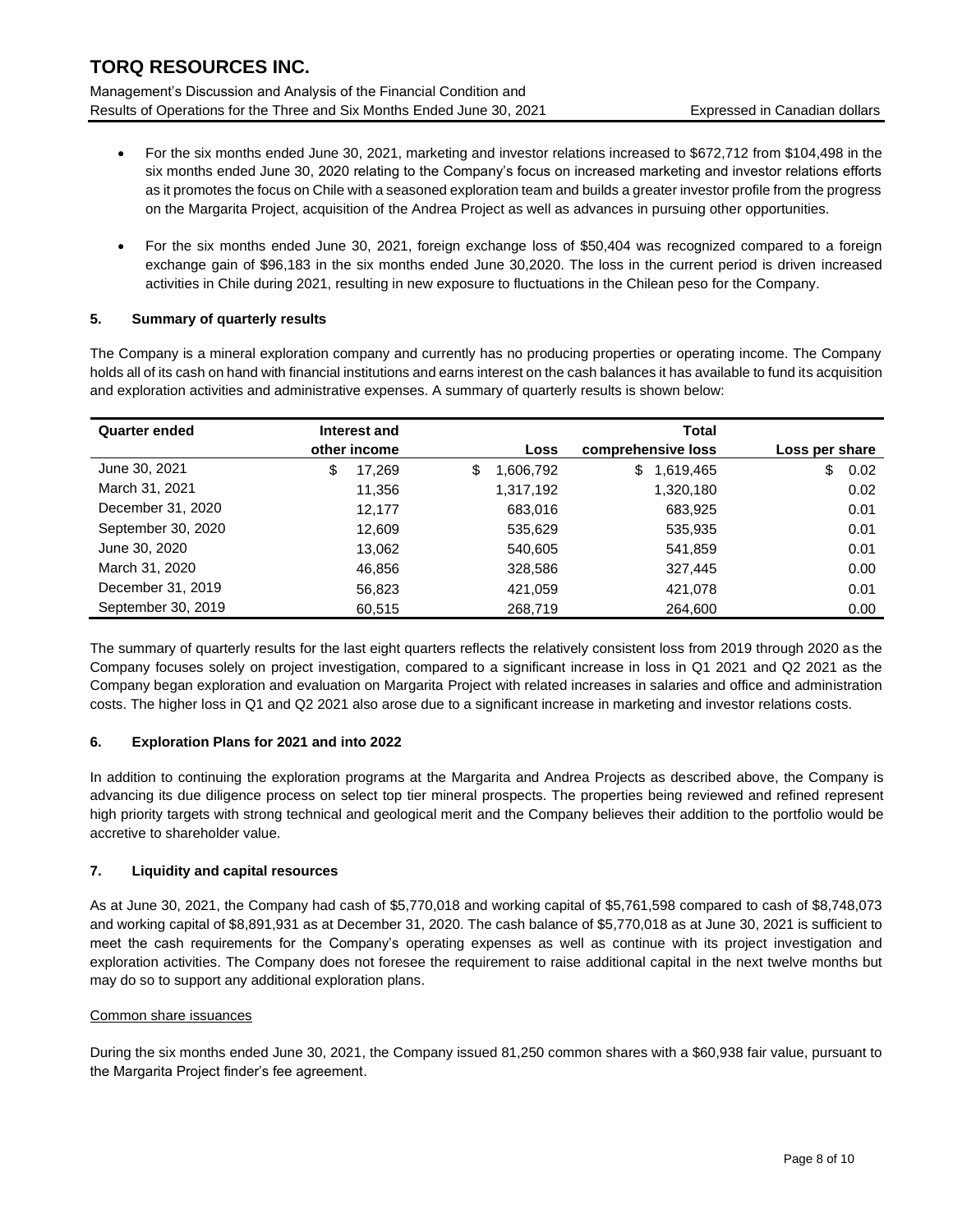Management's Discussion and Analysis of the Financial Condition and Results of Operations for the Three and Six Months Ended June 30, 2021 Expressed in Canadian dollars

- For the six months ended June 30, 2021, marketing and investor relations increased to \$672,712 from \$104,498 in the six months ended June 30, 2020 relating to the Company's focus on increased marketing and investor relations efforts as it promotes the focus on Chile with a seasoned exploration team and builds a greater investor profile from the progress on the Margarita Project, acquisition of the Andrea Project as well as advances in pursuing other opportunities.
- For the six months ended June 30, 2021, foreign exchange loss of \$50,404 was recognized compared to a foreign exchange gain of \$96,183 in the six months ended June 30,2020. The loss in the current period is driven increased activities in Chile during 2021, resulting in new exposure to fluctuations in the Chilean peso for the Company.

## **5. Summary of quarterly results**

The Company is a mineral exploration company and currently has no producing properties or operating income. The Company holds all of its cash on hand with financial institutions and earns interest on the cash balances it has available to fund its acquisition and exploration activities and administrative expenses. A summary of quarterly results is shown below:

| <b>Quarter ended</b> | Interest and |                 | <b>Total</b>       |                |
|----------------------|--------------|-----------------|--------------------|----------------|
|                      | other income | Loss            | comprehensive loss | Loss per share |
| June 30, 2021        | \$<br>17,269 | \$<br>1,606,792 | \$<br>1,619,465    | \$<br>0.02     |
| March 31, 2021       | 11,356       | 1,317,192       | 1,320,180          | 0.02           |
| December 31, 2020    | 12.177       | 683,016         | 683,925            | 0.01           |
| September 30, 2020   | 12.609       | 535,629         | 535,935            | 0.01           |
| June 30, 2020        | 13.062       | 540,605         | 541,859            | 0.01           |
| March 31, 2020       | 46.856       | 328,586         | 327,445            | 0.00           |
| December 31, 2019    | 56,823       | 421.059         | 421,078            | 0.01           |
| September 30, 2019   | 60,515       | 268,719         | 264,600            | 0.00           |

The summary of quarterly results for the last eight quarters reflects the relatively consistent loss from 2019 through 2020 as the Company focuses solely on project investigation, compared to a significant increase in loss in Q1 2021 and Q2 2021 as the Company began exploration and evaluation on Margarita Project with related increases in salaries and office and administration costs. The higher loss in Q1 and Q2 2021 also arose due to a significant increase in marketing and investor relations costs.

## **6. Exploration Plans for 2021 and into 2022**

In addition to continuing the exploration programs at the Margarita and Andrea Projects as described above, the Company is advancing its due diligence process on select top tier mineral prospects. The properties being reviewed and refined represent high priority targets with strong technical and geological merit and the Company believes their addition to the portfolio would be accretive to shareholder value.

## **7. Liquidity and capital resources**

As at June 30, 2021, the Company had cash of \$5,770,018 and working capital of \$5,761,598 compared to cash of \$8,748,073 and working capital of \$8,891,931 as at December 31, 2020. The cash balance of \$5,770,018 as at June 30, 2021 is sufficient to meet the cash requirements for the Company's operating expenses as well as continue with its project investigation and exploration activities. The Company does not foresee the requirement to raise additional capital in the next twelve months but may do so to support any additional exploration plans.

#### Common share issuances

During the six months ended June 30, 2021, the Company issued 81,250 common shares with a \$60,938 fair value, pursuant to the Margarita Project finder's fee agreement.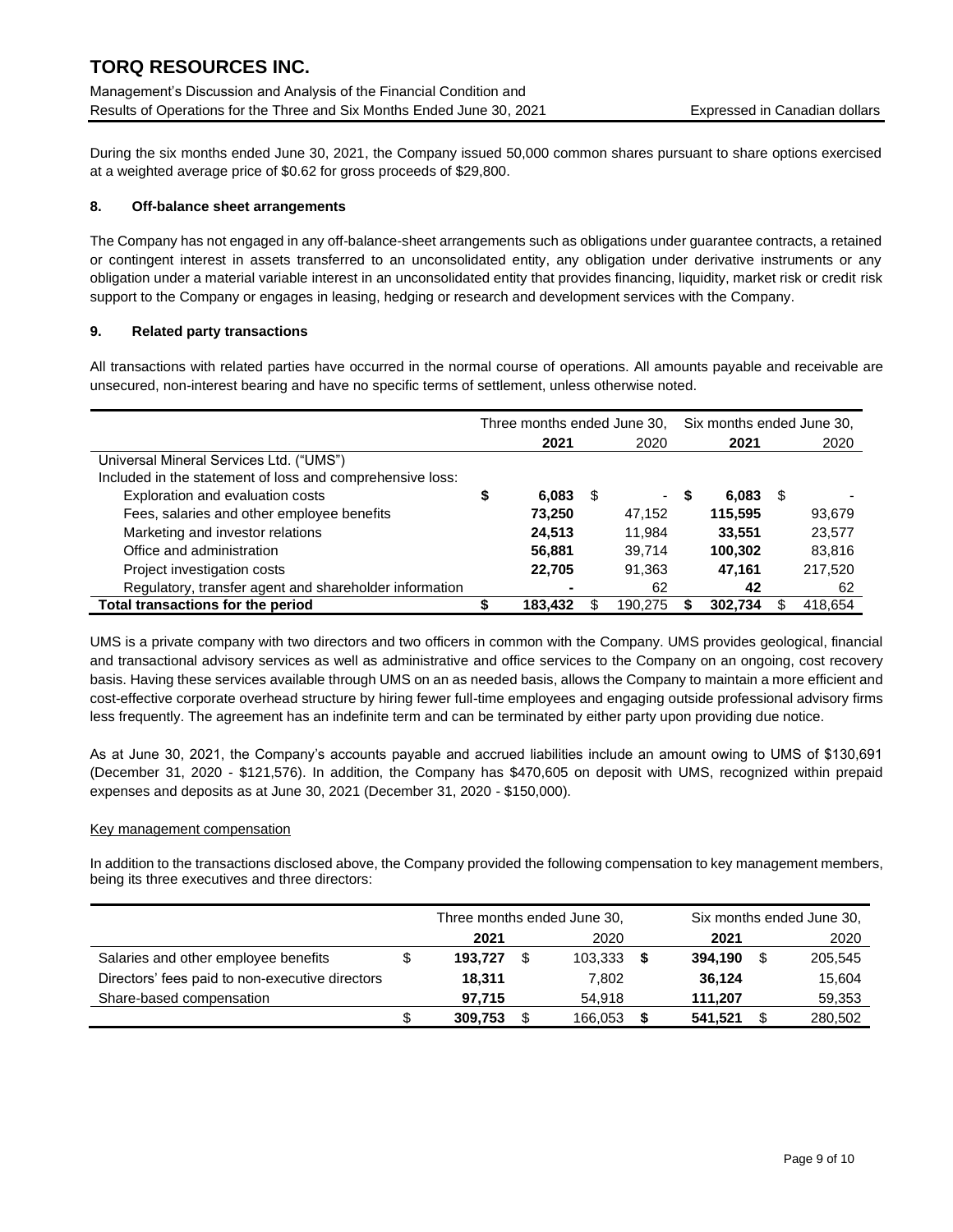During the six months ended June 30, 2021, the Company issued 50,000 common shares pursuant to share options exercised at a weighted average price of \$0.62 for gross proceeds of \$29,800.

### **8. Off-balance sheet arrangements**

The Company has not engaged in any off-balance-sheet arrangements such as obligations under guarantee contracts, a retained or contingent interest in assets transferred to an unconsolidated entity, any obligation under derivative instruments or any obligation under a material variable interest in an unconsolidated entity that provides financing, liquidity, market risk or credit risk support to the Company or engages in leasing, hedging or research and development services with the Company.

#### **9. Related party transactions**

All transactions with related parties have occurred in the normal course of operations. All amounts payable and receivable are unsecured, non-interest bearing and have no specific terms of settlement, unless otherwise noted.

|                                                           | Three months ended June 30, |         |      |                          |   | Six months ended June 30, |      |         |  |
|-----------------------------------------------------------|-----------------------------|---------|------|--------------------------|---|---------------------------|------|---------|--|
|                                                           |                             | 2021    |      | 2020                     |   | 2021                      |      | 2020    |  |
| Universal Mineral Services Ltd. ("UMS")                   |                             |         |      |                          |   |                           |      |         |  |
| Included in the statement of loss and comprehensive loss: |                             |         |      |                          |   |                           |      |         |  |
| Exploration and evaluation costs                          | \$                          | 6,083   | - 35 | $\overline{\phantom{a}}$ | 5 | 6,083                     | - SS |         |  |
| Fees, salaries and other employee benefits                |                             | 73.250  |      | 47.152                   |   | 115.595                   |      | 93,679  |  |
| Marketing and investor relations                          |                             | 24,513  |      | 11.984                   |   | 33.551                    |      | 23,577  |  |
| Office and administration                                 |                             | 56,881  |      | 39,714                   |   | 100,302                   |      | 83,816  |  |
| Project investigation costs                               |                             | 22.705  |      | 91.363                   |   | 47.161                    |      | 217,520 |  |
| Regulatory, transfer agent and shareholder information    |                             |         |      | 62                       |   | 42                        |      | 62      |  |
| Total transactions for the period                         |                             | 183.432 |      | 190.275                  |   | 302.734                   |      | 418.654 |  |

UMS is a private company with two directors and two officers in common with the Company. UMS provides geological, financial and transactional advisory services as well as administrative and office services to the Company on an ongoing, cost recovery basis. Having these services available through UMS on an as needed basis, allows the Company to maintain a more efficient and cost-effective corporate overhead structure by hiring fewer full-time employees and engaging outside professional advisory firms less frequently. The agreement has an indefinite term and can be terminated by either party upon providing due notice.

As at June 30, 2021, the Company's accounts payable and accrued liabilities include an amount owing to UMS of \$130,691 (December 31, 2020 - \$121,576). In addition, the Company has \$470,605 on deposit with UMS, recognized within prepaid expenses and deposits as at June 30, 2021 (December 31, 2020 - \$150,000).

#### Key management compensation

In addition to the transactions disclosed above, the Company provided the following compensation to key management members, being its three executives and three directors:

|                                                 |    | Three months ended June 30,<br>2021<br>2020 |     |         |  |         | Six months ended June 30, |
|-------------------------------------------------|----|---------------------------------------------|-----|---------|--|---------|---------------------------|
|                                                 |    |                                             |     |         |  | 2021    | 2020                      |
| Salaries and other employee benefits            | \$ | 193.727                                     | \$. | 103.333 |  | 394.190 | 205,545                   |
| Directors' fees paid to non-executive directors |    | 18.311                                      |     | 7.802   |  | 36.124  | 15,604                    |
| Share-based compensation                        |    | 97.715                                      |     | 54.918  |  | 111.207 | 59,353                    |
|                                                 | \$ | 309.753                                     |     | 166,053 |  | 541,521 | 280.502                   |